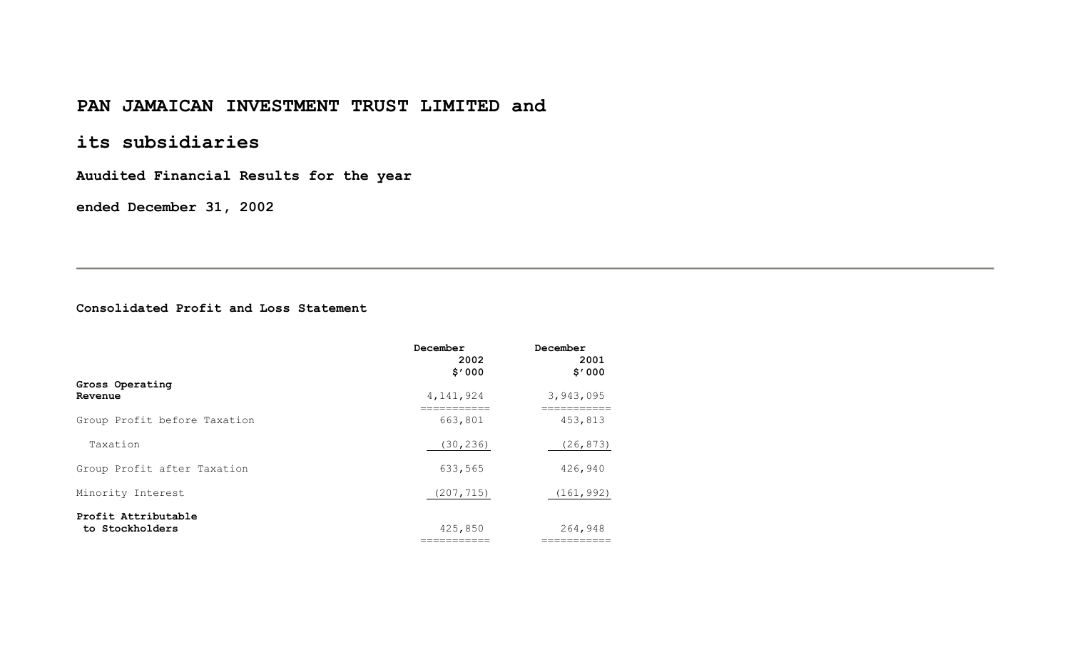# **PAN JAMAICAN INVESTMENT TRUST LIMITED and**

# **its subsidiaries**

**Auudited Financial Results for the year** 

**ended December 31, 2002** 

### **Consolidated Profit and Loss Statement**

|                                        | December<br>2002<br>\$'000 | December<br>2001<br>\$'000 |
|----------------------------------------|----------------------------|----------------------------|
| Gross Operating<br>Revenue             | 4, 141, 924                | 3,943,095                  |
| Group Profit before Taxation           | 663,801                    | 453,813                    |
| Taxation                               | (30, 236)                  | (26, 873)                  |
| Group Profit after Taxation            | 633,565                    | 426,940                    |
| Minority Interest                      | (207, 715)                 | (161, 992)                 |
| Profit Attributable<br>to Stockholders | 425,850<br>===========     | 264,948<br>==========      |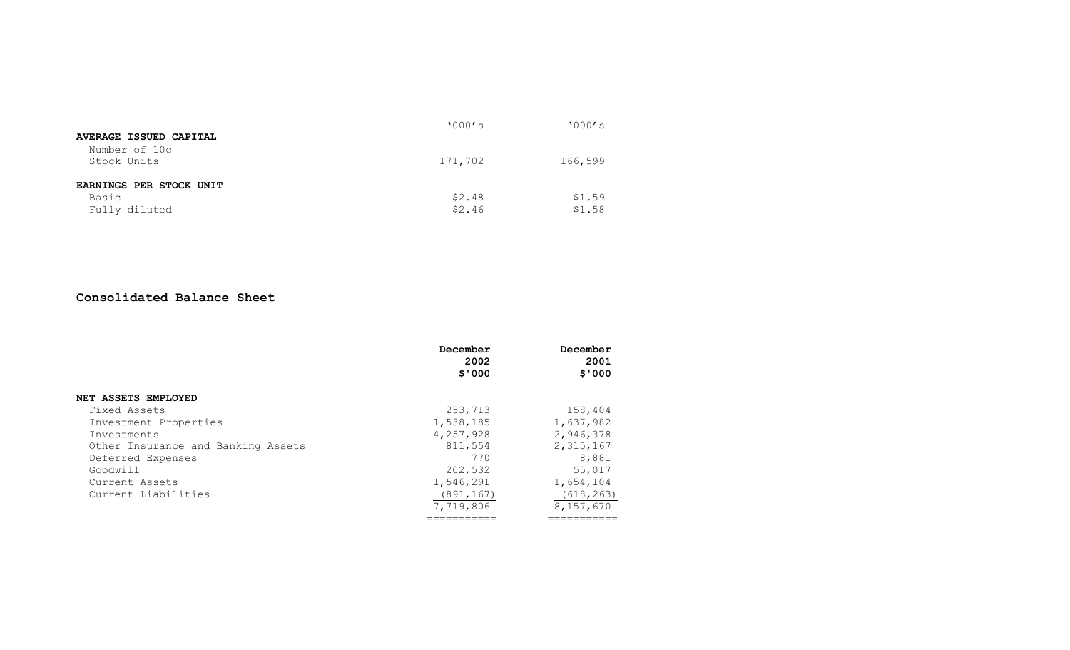| AVERAGE ISSUED CAPITAL       | '000's  | '000's  |
|------------------------------|---------|---------|
| Number of 10c<br>Stock Units | 171,702 | 166,599 |
| EARNINGS PER STOCK UNIT      |         |         |
| Basic                        | \$2.48  | \$1.59  |
| Fully diluted                | \$2.46  | \$1.58  |

#### **Consolidated Balance Sheet**

|                                    | December<br>2002<br>\$'000 | December<br>2001<br>\$'000 |
|------------------------------------|----------------------------|----------------------------|
| <b>NET ASSETS EMPLOYED</b>         |                            |                            |
| Fixed Assets                       | 253,713                    | 158,404                    |
| Investment Properties              | 1,538,185                  | 1,637,982                  |
| Investments                        | 4,257,928                  | 2,946,378                  |
| Other Insurance and Banking Assets | 811,554                    | 2,315,167                  |
| Deferred Expenses                  | 770                        | 8,881                      |
| Goodwill                           | 202,532                    | 55,017                     |
| Current Assets                     | 1,546,291                  | 1,654,104                  |
| Current Liabilities                | (891, 167)                 | (618, 263)                 |
|                                    | 7,719,806                  | 8,157,670                  |
|                                    | ==========                 | =========                  |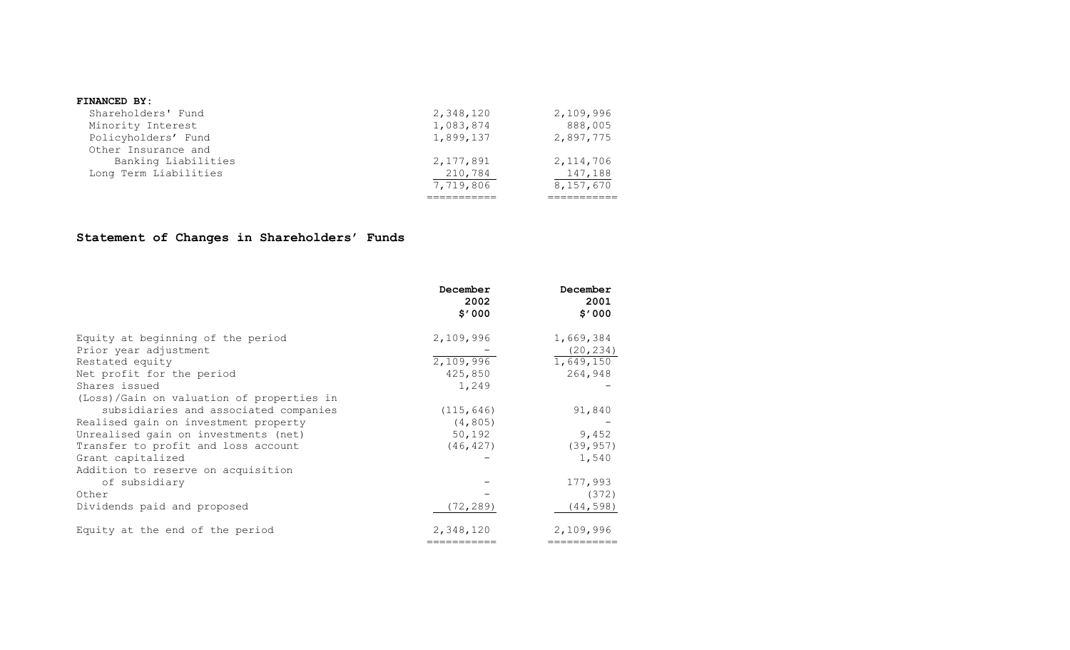#### **FINANCED BY:**

|                       | 7,719,806 | 8,157,670   |
|-----------------------|-----------|-------------|
| Long Term Liabilities | 210,784   | 147,188     |
| Banking Liabilities   | 2,177,891 | 2, 114, 706 |
| Other Insurance and   |           |             |
| Policyholders' Fund   | 1,899,137 | 2,897,775   |
| Minority Interest     | 1,083,874 | 888,005     |
| Shareholders' Fund    | 2,348,120 | 2,109,996   |
|                       |           |             |

### **Statement of Changes in Shareholders' Funds**

|                                           | December<br>2002<br>\$'000 | December<br>2001<br>\$7000 |
|-------------------------------------------|----------------------------|----------------------------|
| Equity at beginning of the period         | 2,109,996                  | 1,669,384                  |
| Prior year adjustment                     |                            | (20, 234)                  |
| Restated equity                           | 2,109,996                  | 1,649,150                  |
| Net profit for the period                 | 425,850                    | 264,948                    |
| Shares issued                             | 1,249                      |                            |
| (Loss)/Gain on valuation of properties in |                            |                            |
| subsidiaries and associated companies     | (115, 646)                 | 91,840                     |
| Realised gain on investment property      | (4, 805)                   |                            |
| Unrealised gain on investments (net)      | 50,192                     | 9,452                      |
| Transfer to profit and loss account       | (46, 427)                  | (39, 957)                  |
| Grant capitalized                         |                            | 1,540                      |
| Addition to reserve on acquisition        |                            |                            |
| of subsidiary                             |                            | 177,993                    |
| Other                                     |                            | (372)                      |
| Dividends paid and proposed               | (72, 289)                  | (44, 598)                  |
| Equity at the end of the period           | 2,348,120                  | 2,109,996                  |
|                                           | ===========                | ==========                 |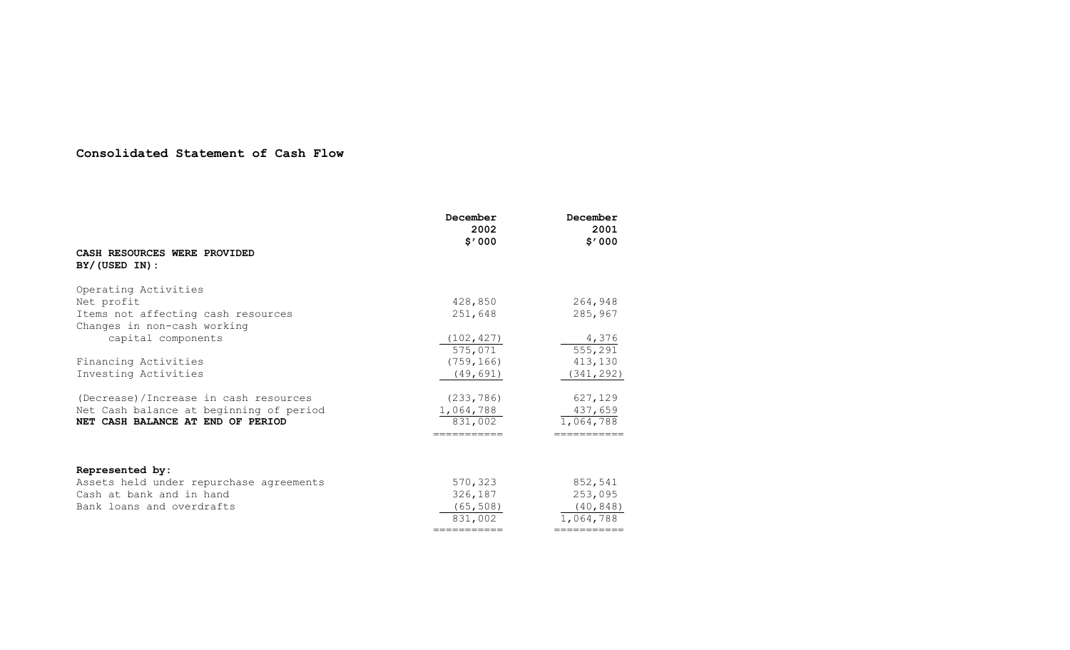### **Consolidated Statement of Cash Flow**

|                                                   | December<br>2002<br>\$7000 | December<br>2001<br>\$7000 |
|---------------------------------------------------|----------------------------|----------------------------|
| CASH RESOURCES WERE PROVIDED<br>$BY/$ (USED IN) : |                            |                            |
| Operating Activities                              |                            |                            |
| Net profit                                        | 428,850                    | 264,948                    |
| Items not affecting cash resources                | 251,648                    | 285,967                    |
| Changes in non-cash working                       |                            |                            |
| capital components                                | (102, 427)                 | 4,376                      |
|                                                   | 575,071                    | 555, 291                   |
| Financing Activities                              | (759, 166)                 | 413,130                    |
| Investing Activities                              | (49, 691)                  | (341, 292)                 |
| (Decrease)/Increase in cash resources             | (233, 786)                 | 627,129                    |
| Net Cash balance at beginning of period           | 1,064,788                  | 437,659                    |
| NET CASH BALANCE AT END OF PERIOD                 | 831,002                    | 1,064,788                  |
|                                                   | ===========                | ===========                |
| Represented by:                                   |                            |                            |
| Assets held under repurchase agreements           | 570,323                    | 852,541                    |
| Cash at bank and in hand                          | 326,187                    | 253,095                    |
| Bank loans and overdrafts                         | (65, 508)                  | (40, 848)                  |
|                                                   | 831,002                    | 1,064,788                  |
|                                                   | ===========                | ===========                |